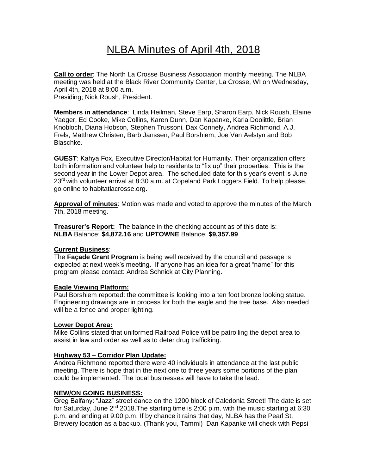# NLBA Minutes of April 4th, 2018

**Call to order**: The North La Crosse Business Association monthly meeting. The NLBA meeting was held at the Black River Community Center, La Crosse, WI on Wednesday, April 4th, 2018 at 8:00 a.m. Presiding; Nick Roush, President.

**Members in attendance**: Linda Heilman, Steve Earp, Sharon Earp, Nick Roush, Elaine Yaeger, Ed Cooke, Mike Collins, Karen Dunn, Dan Kapanke, Karla Doolittle, Brian Knobloch, Diana Hobson, Stephen Trussoni, Dax Connely, Andrea Richmond, A.J. Frels, Matthew Christen, Barb Janssen, Paul Borshiem, Joe Van Aelstyn and Bob Blaschke.

**GUEST**: Kahya Fox, Executive Director/Habitat for Humanity. Their organization offers both information and volunteer help to residents to "fix up" their properties. This is the second year in the Lower Depot area. The scheduled date for this year's event is June 23<sup>rd</sup> with volunteer arrival at 8:30 a.m. at Copeland Park Loggers Field. To help please, go online to habitatlacrosse.org.

**Approval of minutes**: Motion was made and voted to approve the minutes of the March 7th, 2018 meeting.

**Treasurer's Report:** The balance in the checking account as of this date is: **NLBA** Balance: **\$4,872.16** and **UPTOWNE** Balance: **\$9,357.99**

#### **Current Business**:

The **Façade Grant Program** is being well received by the council and passage is expected at next week's meeting. If anyone has an idea for a great "name" for this program please contact: Andrea Schnick at City Planning.

#### **Eagle Viewing Platform:**

Paul Borshiem reported: the committee is looking into a ten foot bronze looking statue. Engineering drawings are in process for both the eagle and the tree base. Also needed will be a fence and proper lighting.

# **Lower Depot Area:**

Mike Collins stated that uniformed Railroad Police will be patrolling the depot area to assist in law and order as well as to deter drug trafficking.

#### **Highway 53 – Corridor Plan Update:**

Andrea Richmond reported there were 40 individuals in attendance at the last public meeting. There is hope that in the next one to three years some portions of the plan could be implemented. The local businesses will have to take the lead.

#### **NEW/ON GOING BUSINESS:**

Greg Balfany: "Jazz" street dance on the 1200 block of Caledonia Street! The date is set for Saturday, June  $2^{nd}$  2018. The starting time is 2:00 p.m. with the music starting at 6:30 p.m. and ending at 9:00 p.m. If by chance it rains that day, NLBA has the Pearl St. Brewery location as a backup. (Thank you, Tammi) Dan Kapanke will check with Pepsi